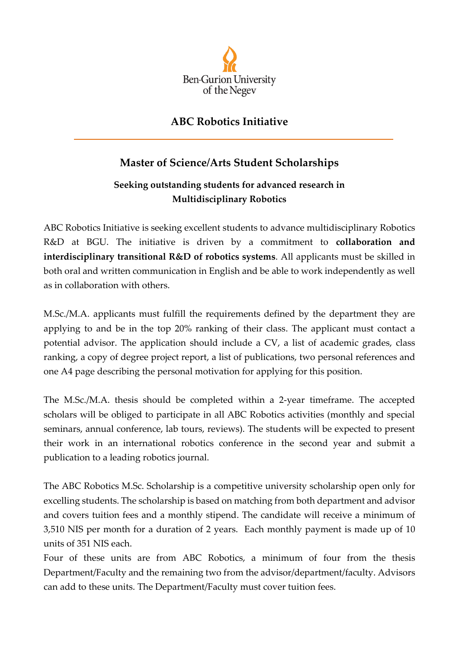

## **ABC Robotics Initiative**

## **Master of Science/Arts Student Scholarships**

## **Seeking outstanding students for advanced research in Multidisciplinary Robotics**

ABC Robotics Initiative is seeking excellent students to advance multidisciplinary Robotics R&D at BGU. The initiative is driven by a commitment to **collaboration and interdisciplinary transitional R&D of robotics systems**. All applicants must be skilled in both oral and written communication in English and be able to work independently as well as in collaboration with others.

M.Sc./M.A. applicants must fulfill the requirements defined by the department they are applying to and be in the top 20% ranking of their class. The applicant must contact a potential advisor. The application should include a CV, a list of academic grades, class ranking, a copy of degree project report, a list of publications, two personal references and one A4 page describing the personal motivation for applying for this position.

The M.Sc./M.A. thesis should be completed within a 2-year timeframe. The accepted scholars will be obliged to participate in all ABC Robotics activities (monthly and special seminars, annual conference, lab tours, reviews). The students will be expected to present their work in an international robotics conference in the second year and submit a publication to a leading robotics journal.

The ABC Robotics M.Sc. Scholarship is a competitive university scholarship open only for excelling students. The scholarship is based on matching from both department and advisor and covers tuition fees and a monthly stipend. The candidate will receive a minimum of 3,510 NIS per month for a duration of 2 years. Each monthly payment is made up of 10 units of 351 NIS each.

Four of these units are from ABC Robotics, a minimum of four from the thesis Department/Faculty and the remaining two from the advisor/department/faculty. Advisors can add to these units. The Department/Faculty must cover tuition fees.